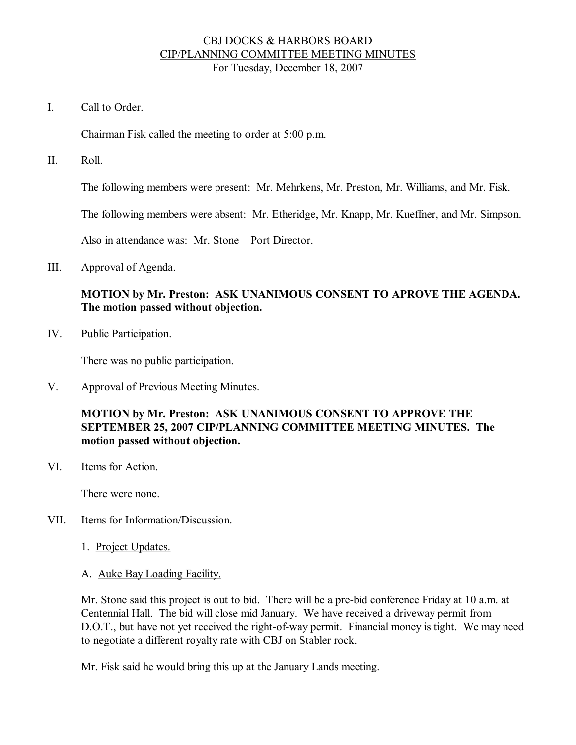### CBJ DOCKS & HARBORS BOARD CIP/PLANNING COMMITTEE MEETING MINUTES For Tuesday, December 18, 2007

I. Call to Order

Chairman Fisk called the meeting to order at 5:00 p.m.

II. Roll.

The following members were present: Mr. Mehrkens, Mr. Preston, Mr. Williams, and Mr. Fisk.

The following members were absent: Mr. Etheridge, Mr. Knapp, Mr. Kueffner, and Mr. Simpson.

Also in attendance was: Mr. Stone – Port Director.

III. Approval of Agenda.

# **MOTION by Mr. Preston: ASK UNANIMOUS CONSENT TO APROVE THE AGENDA. The motion passed without objection.**

IV. Public Participation.

There was no public participation.

V. Approval of Previous Meeting Minutes.

# **MOTION by Mr. Preston: ASK UNANIMOUS CONSENT TO APPROVE THE SEPTEMBER 25, 2007 CIP/PLANNING COMMITTEE MEETING MINUTES. The motion passed without objection.**

VI. Items for Action.

There were none.

- VII. Items for Information/Discussion.
	- 1. Project Updates.
	- A. Auke Bay Loading Facility.

Mr. Stone said this project is out to bid. There will be a pre-bid conference Friday at 10 a.m. at Centennial Hall. The bid will close mid January. We have received a driveway permit from D.O.T., but have not yet received the right-of-way permit. Financial money is tight. We may need to negotiate a different royalty rate with CBJ on Stabler rock.

Mr. Fisk said he would bring this up at the January Lands meeting.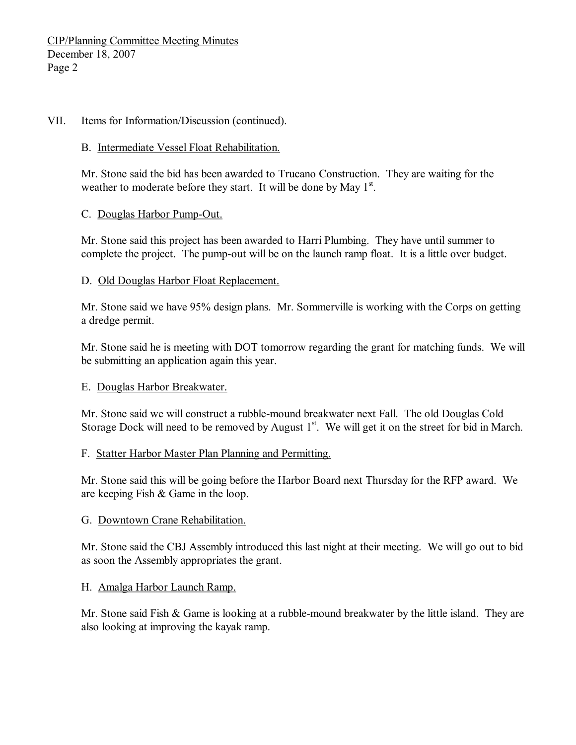#### VII. Items for Information/Discussion (continued).

#### B. Intermediate Vessel Float Rehabilitation.

Mr. Stone said the bid has been awarded to Trucano Construction. They are waiting for the weather to moderate before they start. It will be done by May  $1<sup>st</sup>$ .

#### C. Douglas Harbor Pump-Out.

Mr. Stone said this project has been awarded to Harri Plumbing. They have until summer to complete the project. The pump-out will be on the launch ramp float. It is a little over budget.

#### D. Old Douglas Harbor Float Replacement.

Mr. Stone said we have 95% design plans. Mr. Sommerville is working with the Corps on getting a dredge permit.

Mr. Stone said he is meeting with DOT tomorrow regarding the grant for matching funds. We will be submitting an application again this year.

# E. Douglas Harbor Breakwater.

Mr. Stone said we will construct a rubble-mound breakwater next Fall. The old Douglas Cold Storage Dock will need to be removed by August  $1<sup>st</sup>$ . We will get it on the street for bid in March.

# F. Statter Harbor Master Plan Planning and Permitting.

Mr. Stone said this will be going before the Harbor Board next Thursday for the RFP award. We are keeping Fish & Game in the loop.

# G. Downtown Crane Rehabilitation.

Mr. Stone said the CBJ Assembly introduced this last night at their meeting. We will go out to bid as soon the Assembly appropriates the grant.

#### H. Amalga Harbor Launch Ramp.

Mr. Stone said Fish  $\&$  Game is looking at a rubble-mound breakwater by the little island. They are also looking at improving the kayak ramp.